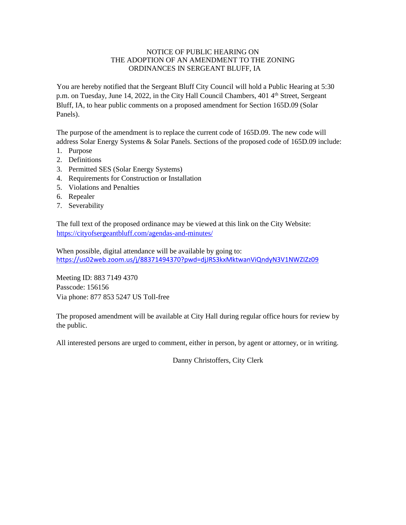#### NOTICE OF PUBLIC HEARING ON THE ADOPTION OF AN AMENDMENT TO THE ZONING ORDINANCES IN SERGEANT BLUFF, IA

You are hereby notified that the Sergeant Bluff City Council will hold a Public Hearing at 5:30 p.m. on Tuesday, June 14, 2022, in the City Hall Council Chambers, 401 4<sup>th</sup> Street, Sergeant Bluff, IA, to hear public comments on a proposed amendment for Section 165D.09 (Solar Panels).

The purpose of the amendment is to replace the current code of 165D.09. The new code will address Solar Energy Systems & Solar Panels. Sections of the proposed code of 165D.09 include:

- 1. Purpose
- 2. Definitions
- 3. Permitted SES (Solar Energy Systems)
- 4. Requirements for Construction or Installation
- 5. Violations and Penalties
- 6. Repealer
- 7. Severability

The full text of the proposed ordinance may be viewed at this link on the City Website: <https://cityofsergeantbluff.com/agendas-and-minutes/>

When possible, digital attendance will be available by going to: <https://us02web.zoom.us/j/88371494370?pwd=djJRS3kxMktwanViQndyN3V1NWZIZz09>

Meeting ID: 883 7149 4370 Passcode: 156156 Via phone: 877 853 5247 US Toll-free

The proposed amendment will be available at City Hall during regular office hours for review by the public.

All interested persons are urged to comment, either in person, by agent or attorney, or in writing.

Danny Christoffers, City Clerk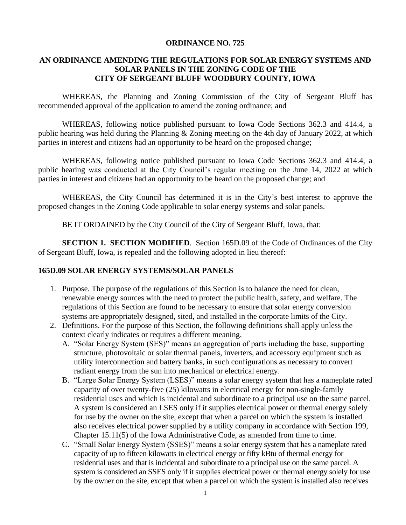#### **ORDINANCE NO. 725**

# **AN ORDINANCE AMENDING THE REGULATIONS FOR SOLAR ENERGY SYSTEMS AND SOLAR PANELS IN THE ZONING CODE OF THE CITY OF SERGEANT BLUFF WOODBURY COUNTY, IOWA**

WHEREAS, the Planning and Zoning Commission of the City of Sergeant Bluff has recommended approval of the application to amend the zoning ordinance; and

WHEREAS, following notice published pursuant to Iowa Code Sections 362.3 and 414.4, a public hearing was held during the Planning & Zoning meeting on the 4th day of January 2022, at which parties in interest and citizens had an opportunity to be heard on the proposed change;

WHEREAS, following notice published pursuant to Iowa Code Sections 362.3 and 414.4, a public hearing was conducted at the City Council's regular meeting on the June 14, 2022 at which parties in interest and citizens had an opportunity to be heard on the proposed change; and

WHEREAS, the City Council has determined it is in the City's best interest to approve the proposed changes in the Zoning Code applicable to solar energy systems and solar panels.

BE IT ORDAINED by the City Council of the City of Sergeant Bluff, Iowa, that:

**SECTION 1. SECTION MODIFIED**. Section 165D.09 of the Code of Ordinances of the City of Sergeant Bluff, Iowa, is repealed and the following adopted in lieu thereof:

### **165D.09 SOLAR ENERGY SYSTEMS/SOLAR PANELS**

- 1. Purpose. The purpose of the regulations of this Section is to balance the need for clean, renewable energy sources with the need to protect the public health, safety, and welfare. The regulations of this Section are found to be necessary to ensure that solar energy conversion systems are appropriately designed, sited, and installed in the corporate limits of the City.
- 2. Definitions. For the purpose of this Section, the following definitions shall apply unless the context clearly indicates or requires a different meaning.
	- A. "Solar Energy System (SES)" means an aggregation of parts including the base, supporting structure, photovoltaic or solar thermal panels, inverters, and accessory equipment such as utility interconnection and battery banks, in such configurations as necessary to convert radiant energy from the sun into mechanical or electrical energy.
	- B. "Large Solar Energy System (LSES)" means a solar energy system that has a nameplate rated capacity of over twenty-five (25) kilowatts in electrical energy for non-single-family residential uses and which is incidental and subordinate to a principal use on the same parcel. A system is considered an LSES only if it supplies electrical power or thermal energy solely for use by the owner on the site, except that when a parcel on which the system is installed also receives electrical power supplied by a utility company in accordance with Section 199, Chapter 15.11(5) of the Iowa Administrative Code, as amended from time to time.
	- C. "Small Solar Energy System (SSES)" means a solar energy system that has a nameplate rated capacity of up to fifteen kilowatts in electrical energy or fifty kBtu of thermal energy for residential uses and that is incidental and subordinate to a principal use on the same parcel. A system is considered an SSES only if it supplies electrical power or thermal energy solely for use by the owner on the site, except that when a parcel on which the system is installed also receives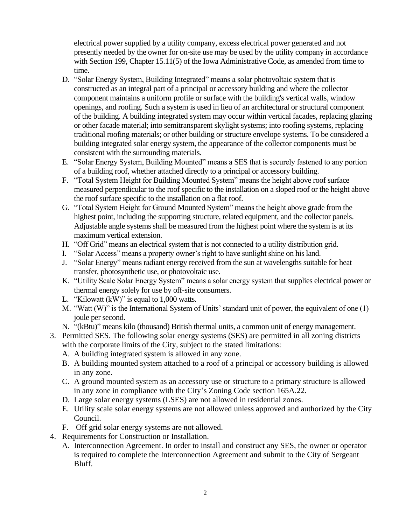electrical power supplied by a utility company, excess electrical power generated and not presently needed by the owner for on-site use may be used by the utility company in accordance with Section 199, Chapter 15.11(5) of the Iowa Administrative Code, as amended from time to time.

- D. "Solar Energy System, Building Integrated" means a solar photovoltaic system that is constructed as an integral part of a principal or accessory building and where the collector component maintains a uniform profile or surface with the building's vertical walls, window openings, and roofing. Such a system is used in lieu of an architectural or structural component of the building. A building integrated system may occur within vertical facades, replacing glazing or other facade material; into semitransparent skylight systems; into roofing systems, replacing traditional roofing materials; or other building or structure envelope systems. To be considered a building integrated solar energy system, the appearance of the collector components must be consistent with the surrounding materials.
- E. "Solar Energy System, Building Mounted" means a SES that is securely fastened to any portion of a building roof, whether attached directly to a principal or accessory building.
- F. "Total System Height for Building Mounted System" means the height above roof surface measured perpendicular to the roof specific to the installation on a sloped roof or the height above the roof surface specific to the installation on a flat roof.
- G. "Total System Height for Ground Mounted System" means the height above grade from the highest point, including the supporting structure, related equipment, and the collector panels. Adjustable angle systems shall be measured from the highest point where the system is at its maximum vertical extension.
- H. "Off Grid" means an electrical system that is not connected to a utility distribution grid.
- I. "Solar Access" means a property owner's right to have sunlight shine on his land.
- J. "Solar Energy" means radiant energy received from the sun at wavelengths suitable for heat transfer, photosynthetic use, or photovoltaic use.
- K. "Utility Scale Solar Energy System" means a solar energy system that supplies electrical power or thermal energy solely for use by off-site consumers.
- L. "Kilowatt (kW)" is equal to 1,000 watts.
- M. "Watt (W)" is the International System of Units' standard unit of power, the equivalent of one (1) joule per second.
- N. "(kBtu)" means kilo (thousand) British thermal units, a common unit of energy management.
- 3. Permitted SES. The following solar energy systems (SES) are permitted in all zoning districts with the corporate limits of the City, subject to the stated limitations:
	- A. A building integrated system is allowed in any zone.
	- B. A building mounted system attached to a roof of a principal or accessory building is allowed in any zone.
	- C. A ground mounted system as an accessory use or structure to a primary structure is allowed in any zone in compliance with the City's Zoning Code section 165A.22.
	- D. Large solar energy systems (LSES) are not allowed in residential zones.
	- E. Utility scale solar energy systems are not allowed unless approved and authorized by the City Council.
	- F. Off grid solar energy systems are not allowed.
- 4. Requirements for Construction or Installation.
	- A. Interconnection Agreement. In order to install and construct any SES, the owner or operator is required to complete the Interconnection Agreement and submit to the City of Sergeant Bluff.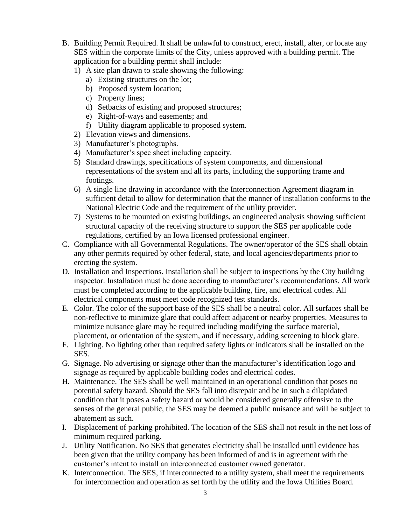- B. Building Permit Required. It shall be unlawful to construct, erect, install, alter, or locate any SES within the corporate limits of the City, unless approved with a building permit. The application for a building permit shall include:
	- 1) A site plan drawn to scale showing the following:
		- a) Existing structures on the lot;
		- b) Proposed system location;
		- c) Property lines;
		- d) Setbacks of existing and proposed structures;
		- e) Right-of-ways and easements; and
		- f) Utility diagram applicable to proposed system.
	- 2) Elevation views and dimensions.
	- 3) Manufacturer's photographs.
	- 4) Manufacturer's spec sheet including capacity.
	- 5) Standard drawings, specifications of system components, and dimensional representations of the system and all its parts, including the supporting frame and footings.
	- 6) A single line drawing in accordance with the Interconnection Agreement diagram in sufficient detail to allow for determination that the manner of installation conforms to the National Electric Code and the requirement of the utility provider.
	- 7) Systems to be mounted on existing buildings, an engineered analysis showing sufficient structural capacity of the receiving structure to support the SES per applicable code regulations, certified by an Iowa licensed professional engineer.
- C. Compliance with all Governmental Regulations. The owner/operator of the SES shall obtain any other permits required by other federal, state, and local agencies/departments prior to erecting the system.
- D. Installation and Inspections. Installation shall be subject to inspections by the City building inspector. Installation must be done according to manufacturer's recommendations. All work must be completed according to the applicable building, fire, and electrical codes. All electrical components must meet code recognized test standards.
- E. Color. The color of the support base of the SES shall be a neutral color. All surfaces shall be non-reflective to minimize glare that could affect adjacent or nearby properties. Measures to minimize nuisance glare may be required including modifying the surface material, placement, or orientation of the system, and if necessary, adding screening to block glare.
- F. Lighting. No lighting other than required safety lights or indicators shall be installed on the SES.
- G. Signage. No advertising or signage other than the manufacturer's identification logo and signage as required by applicable building codes and electrical codes.
- H. Maintenance. The SES shall be well maintained in an operational condition that poses no potential safety hazard. Should the SES fall into disrepair and be in such a dilapidated condition that it poses a safety hazard or would be considered generally offensive to the senses of the general public, the SES may be deemed a public nuisance and will be subject to abatement as such.
- I. Displacement of parking prohibited. The location of the SES shall not result in the net loss of minimum required parking.
- J. Utility Notification. No SES that generates electricity shall be installed until evidence has been given that the utility company has been informed of and is in agreement with the customer's intent to install an interconnected customer owned generator.
- K. Interconnection. The SES, if interconnected to a utility system, shall meet the requirements for interconnection and operation as set forth by the utility and the Iowa Utilities Board.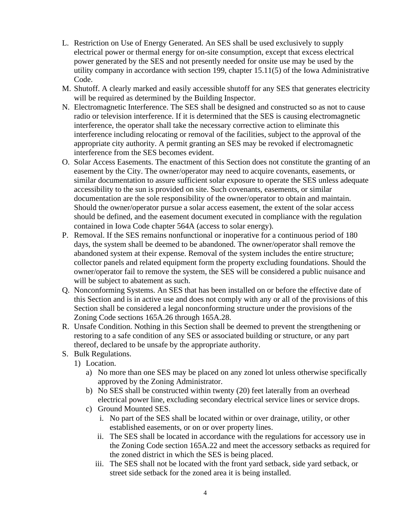- L. Restriction on Use of Energy Generated. An SES shall be used exclusively to supply electrical power or thermal energy for on-site consumption, except that excess electrical power generated by the SES and not presently needed for onsite use may be used by the utility company in accordance with section 199, chapter 15.11(5) of the Iowa Administrative Code.
- M. Shutoff. A clearly marked and easily accessible shutoff for any SES that generates electricity will be required as determined by the Building Inspector.
- N. Electromagnetic Interference. The SES shall be designed and constructed so as not to cause radio or television interference. If it is determined that the SES is causing electromagnetic interference, the operator shall take the necessary corrective action to eliminate this interference including relocating or removal of the facilities, subject to the approval of the appropriate city authority. A permit granting an SES may be revoked if electromagnetic interference from the SES becomes evident.
- O. Solar Access Easements. The enactment of this Section does not constitute the granting of an easement by the City. The owner/operator may need to acquire covenants, easements, or similar documentation to assure sufficient solar exposure to operate the SES unless adequate accessibility to the sun is provided on site. Such covenants, easements, or similar documentation are the sole responsibility of the owner/operator to obtain and maintain. Should the owner/operator pursue a solar access easement, the extent of the solar access should be defined, and the easement document executed in compliance with the regulation contained in Iowa Code chapter 564A (access to solar energy).
- P. Removal. If the SES remains nonfunctional or inoperative for a continuous period of 180 days, the system shall be deemed to be abandoned. The owner/operator shall remove the abandoned system at their expense. Removal of the system includes the entire structure; collector panels and related equipment form the property excluding foundations. Should the owner/operator fail to remove the system, the SES will be considered a public nuisance and will be subject to abatement as such.
- Q. Nonconforming Systems. An SES that has been installed on or before the effective date of this Section and is in active use and does not comply with any or all of the provisions of this Section shall be considered a legal nonconforming structure under the provisions of the Zoning Code sections 165A.26 through 165A.28.
- R. Unsafe Condition. Nothing in this Section shall be deemed to prevent the strengthening or restoring to a safe condition of any SES or associated building or structure, or any part thereof, declared to be unsafe by the appropriate authority.
- S. Bulk Regulations.
	- 1) Location.
		- a) No more than one SES may be placed on any zoned lot unless otherwise specifically approved by the Zoning Administrator.
		- b) No SES shall be constructed within twenty (20) feet laterally from an overhead electrical power line, excluding secondary electrical service lines or service drops.
		- c) Ground Mounted SES.
			- i. No part of the SES shall be located within or over drainage, utility, or other established easements, or on or over property lines.
			- ii. The SES shall be located in accordance with the regulations for accessory use in the Zoning Code section 165A.22 and meet the accessory setbacks as required for the zoned district in which the SES is being placed.
			- iii. The SES shall not be located with the front yard setback, side yard setback, or street side setback for the zoned area it is being installed.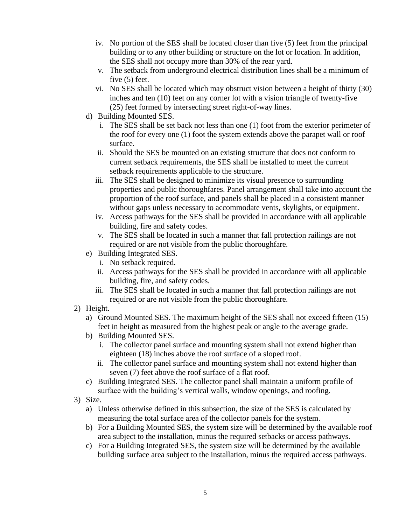- iv. No portion of the SES shall be located closer than five (5) feet from the principal building or to any other building or structure on the lot or location. In addition, the SES shall not occupy more than 30% of the rear yard.
- v. The setback from underground electrical distribution lines shall be a minimum of five (5) feet.
- vi. No SES shall be located which may obstruct vision between a height of thirty (30) inches and ten (10) feet on any corner lot with a vision triangle of twenty-five (25) feet formed by intersecting street right-of-way lines.
- d) Building Mounted SES.
	- i. The SES shall be set back not less than one (1) foot from the exterior perimeter of the roof for every one (1) foot the system extends above the parapet wall or roof surface.
	- ii. Should the SES be mounted on an existing structure that does not conform to current setback requirements, the SES shall be installed to meet the current setback requirements applicable to the structure.
	- iii. The SES shall be designed to minimize its visual presence to surrounding properties and public thoroughfares. Panel arrangement shall take into account the proportion of the roof surface, and panels shall be placed in a consistent manner without gaps unless necessary to accommodate vents, skylights, or equipment.
	- iv. Access pathways for the SES shall be provided in accordance with all applicable building, fire and safety codes.
	- v. The SES shall be located in such a manner that fall protection railings are not required or are not visible from the public thoroughfare.
- e) Building Integrated SES.
	- i. No setback required.
	- ii. Access pathways for the SES shall be provided in accordance with all applicable building, fire, and safety codes.
	- iii. The SES shall be located in such a manner that fall protection railings are not required or are not visible from the public thoroughfare.
- 2) Height.
	- a) Ground Mounted SES. The maximum height of the SES shall not exceed fifteen (15) feet in height as measured from the highest peak or angle to the average grade.
	- b) Building Mounted SES.
		- i. The collector panel surface and mounting system shall not extend higher than eighteen (18) inches above the roof surface of a sloped roof.
		- ii. The collector panel surface and mounting system shall not extend higher than seven (7) feet above the roof surface of a flat roof.
	- c) Building Integrated SES. The collector panel shall maintain a uniform profile of surface with the building's vertical walls, window openings, and roofing.
- 3) Size.
	- a) Unless otherwise defined in this subsection, the size of the SES is calculated by measuring the total surface area of the collector panels for the system.
	- b) For a Building Mounted SES, the system size will be determined by the available roof area subject to the installation, minus the required setbacks or access pathways.
	- c) For a Building Integrated SES, the system size will be determined by the available building surface area subject to the installation, minus the required access pathways.